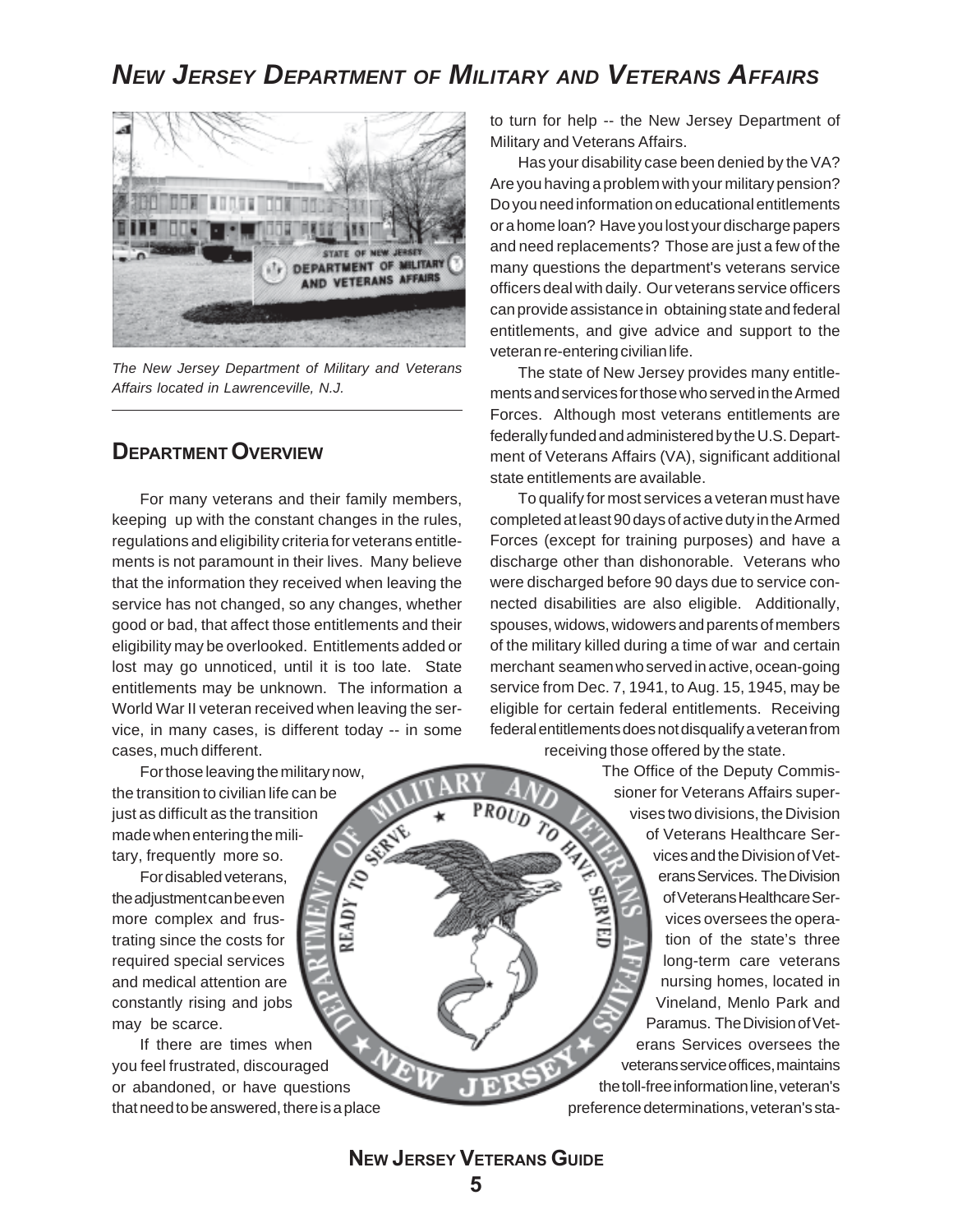## *NEW JERSEY DEPARTMENT OF MILITARY AND VETERANS AFFAIRS*



*The New Jersey Department of Military and Veterans Affairs located in Lawrenceville, N.J.*

## **DEPARTMENT OVERVIEW**

For many veterans and their family members, keeping up with the constant changes in the rules, regulations and eligibility criteria for veterans entitlements is not paramount in their lives. Many believe that the information they received when leaving the service has not changed, so any changes, whether good or bad, that affect those entitlements and their eligibility may be overlooked. Entitlements added or lost may go unnoticed, until it is too late. State entitlements may be unknown. The information a World War II veteran received when leaving the service, in many cases, is different today -- in some cases, much different.

**READ** 

For those leaving the military now, the transition to civilian life can be just as difficult as the transition made when entering the military, frequently more so.

For disabled veterans, the adjustment can be even more complex and frustrating since the costs for required special services and medical attention are constantly rising and jobs may be scarce.

If there are times when you feel frustrated, discouraged or abandoned, or have questions that need to be answered, there is a place to turn for help -- the New Jersey Department of Military and Veterans Affairs.

Has your disability case been denied by the VA? Are you having a problem with your military pension? Do you need information on educational entitlements or a home loan? Have you lost your discharge papers and need replacements? Those are just a few of the many questions the department's veterans service officers deal with daily. Our veterans service officers can provide assistance in obtaining state and federal entitlements, and give advice and support to the veteran re-entering civilian life.

The state of New Jersey provides many entitlements and services for those who served in the Armed Forces. Although most veterans entitlements are federally funded and administered by the U.S. Department of Veterans Affairs (VA), significant additional state entitlements are available.

To qualify for most services a veteran must have completed at least 90 days of active duty in the Armed Forces (except for training purposes) and have a discharge other than dishonorable. Veterans who were discharged before 90 days due to service connected disabilities are also eligible. Additionally, spouses, widows, widowers and parents of members of the military killed during a time of war and certain merchant seamen who served in active, ocean-going service from Dec. 7, 1941, to Aug. 15, 1945, may be eligible for certain federal entitlements. Receiving federal entitlements does not disqualify a veteran from receiving those offered by the state.

> The Office of the Deputy Commissioner for Veterans Affairs supervises two divisions, the Division of Veterans Healthcare Services and the Division of Veterans Services. The Division **GERVEL** of Veterans Healthcare Services oversees the operation of the state's three long-term care veterans nursing homes, located in Vineland, Menlo Park and Paramus. The Division of Veterans Services oversees the veterans service offices, maintains the toll-free information line, veteran's preference determinations, veteran's sta-

**NEW JERSEY VETERANS GUIDE**